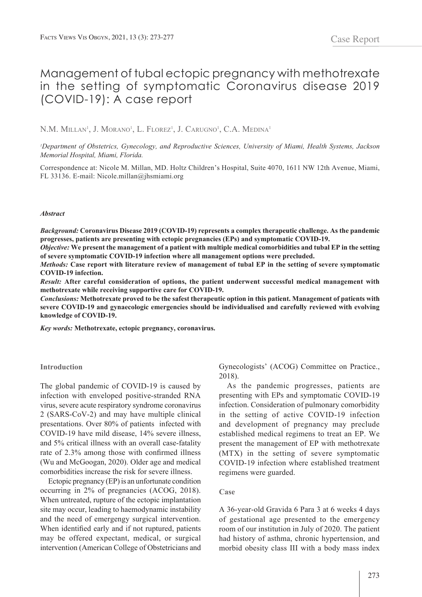# Management of tubal ectopic pregnancy with methotrexate in the setting of symptomatic Coronavirus disease 2019 (COVID-19): A case report

N.M. Millan<sup>i</sup>, J. Morano<sup>i</sup>, L. Florez<sup>i</sup>, J. Carugno<sup>i</sup>, C.A. Medina<sup>1</sup>

*1 Department of Obstetrics, Gynecology, and Reproductive Sciences, University of Miami, Health Systems, Jackson Memorial Hospital, Miami, Florida.*

Correspondence at: Nicole M. Millan, MD. Holtz Children's Hospital, Suite 4070, 1611 NW 12th Avenue, Miami, FL 33136. E-mail: Nicole.millan@jhsmiami.org

#### *Abstract*

*Background:* **Coronavirus Disease 2019 (COVID-19) represents a complex therapeutic challenge. As the pandemic progresses, patients are presenting with ectopic pregnancies (EPs) and symptomatic COVID-19.** 

*Objective:* **We present the management of a patient with multiple medical comorbidities and tubal EP in the setting of severe symptomatic COVID-19 infection where all management options were precluded.** 

*Methods:* **Case report with literature review of management of tubal EP in the setting of severe symptomatic COVID-19 infection.** 

*Result:* **After careful consideration of options, the patient underwent successful medical management with methotrexate while receiving supportive care for COVID-19.** 

*Conclusions:* **Methotrexate proved to be the safest therapeutic option in this patient. Management of patients with severe COVID-19 and gynaecologic emergencies should be individualised and carefully reviewed with evolving knowledge of COVID-19.** 

*Key words:* **Methotrexate, ectopic pregnancy, coronavirus.** 

## **Introduction**

The global pandemic of COVID-19 is caused by infection with enveloped positive-stranded RNA virus, severe acute respiratory syndrome coronavirus 2 (SARS-CoV-2) and may have multiple clinical presentations. Over 80% of patients infected with COVID-19 have mild disease, 14% severe illness, and 5% critical illness with an overall case-fatality rate of 2.3% among those with confirmed illness (Wu and McGoogan, 2020). Older age and medical comorbidities increase the risk for severe illness.

Ectopic pregnancy (EP) is an unfortunate condition occurring in 2% of pregnancies (ACOG, 2018). When untreated, rupture of the ectopic implantation site may occur, leading to haemodynamic instability and the need of emergengy surgical intervention. When identified early and if not ruptured, patients may be offered expectant, medical, or surgical intervention (American College of Obstetricians and Gynecologists' (ACOG) Committee on Practice., 2018).

As the pandemic progresses, patients are presenting with EPs and symptomatic COVID-19 infection. Consideration of pulmonary comorbidity in the setting of active COVID-19 infection and development of pregnancy may preclude established medical regimens to treat an EP. We present the management of EP with methotrexate (MTX) in the setting of severe symptomatic COVID-19 infection where established treatment regimens were guarded.

# **Case**

A 36-year-old Gravida 6 Para 3 at 6 weeks 4 days of gestational age presented to the emergency room of our institution in July of 2020. The patient had history of asthma, chronic hypertension, and morbid obesity class III with a body mass index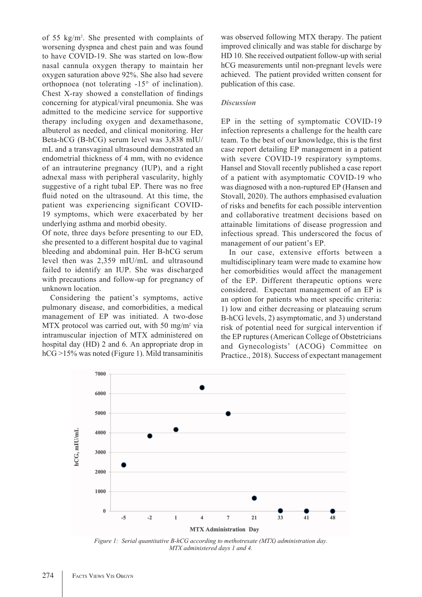of 55 kg/m2 . She presented with complaints of worsening dyspnea and chest pain and was found to have COVID-19. She was started on low-flow nasal cannula oxygen therapy to maintain her oxygen saturation above 92%. She also had severe orthopnoea (not tolerating -15° of inclination). Chest X-ray showed a constellation of findings concerning for atypical/viral pneumonia. She was admitted to the medicine service for supportive therapy including oxygen and dexamethasone, albuterol as needed, and clinical monitoring. Her Beta-hCG (B-hCG) serum level was 3,838 mIU/ mL and a transvaginal ultrasound demonstrated an endometrial thickness of 4 mm, with no evidence of an intrauterine pregnancy (IUP), and a right adnexal mass with peripheral vascularity, highly suggestive of a right tubal EP. There was no free fluid noted on the ultrasound. At this time, the patient was experiencing significant COVID-19 symptoms, which were exacerbated by her underlying asthma and morbid obesity.

Of note, three days before presenting to our ED, she presented to a different hospital due to vaginal bleeding and abdominal pain. Her B-hCG serum level then was 2,359 mIU/mL and ultrasound failed to identify an IUP. She was discharged with precautions and follow-up for pregnancy of unknown location.

Considering the patient's symptoms, active pulmonary disease, and comorbidities, a medical management of EP was initiated. A two-dose MTX protocol was carried out, with 50 mg/m<sup>2</sup> via intramuscular injection of MTX administered on hospital day (HD) 2 and 6. An appropriate drop in hCG >15% was noted (Figure 1). Mild transaminitis

was observed following MTX therapy. The patient improved clinically and was stable for discharge by HD 10. She received outpatient follow-up with serial hCG measurements until non-pregnant levels were achieved. The patient provided written consent for publication of this case.

# *Discussion*

EP in the setting of symptomatic COVID-19 infection represents a challenge for the health care team. To the best of our knowledge, this is the first case report detailing EP management in a patient with severe COVID-19 respiratory symptoms. Hansel and Stovall recently published a case report of a patient with asymptomatic COVID-19 who was diagnosed with a non-ruptured EP (Hansen and Stovall, 2020). The authors emphasised evaluation of risks and benefits for each possible intervention and collaborative treatment decisions based on attainable limitations of disease progression and infectious spread. This underscored the focus of management of our patient's EP.

In our case, extensive efforts between a multidisciplinary team were made to examine how her comorbidities would affect the management of the EP. Different therapeutic options were considered. Expectant management of an EP is an option for patients who meet specific criteria: 1) low and either decreasing or plateauing serum B-hCG levels, 2) asymptomatic, and 3) understand risk of potential need for surgical intervention if the EP ruptures (American College of Obstetricians and Gynecologists' (ACOG) Committee on Practice., 2018). Success of expectant management



*Figure 1: Serial quantitative B-hCG according to methotrexate (MTX) administration day. MTX administered days 1 and 4.*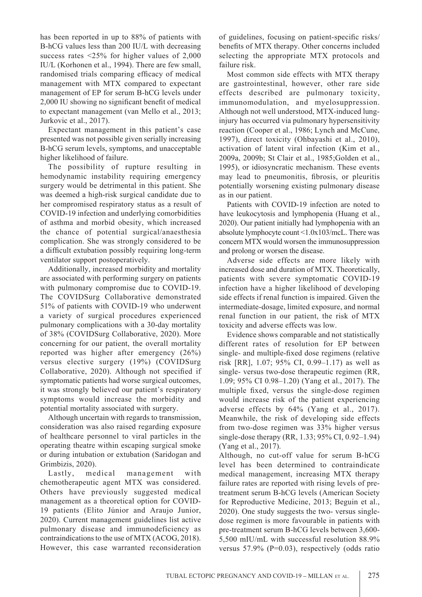has been reported in up to 88% of patients with B-hCG values less than 200 IU/L with decreasing success rates <25% for higher values of 2,000 IU/L (Korhonen et al., 1994). There are few small, randomised trials comparing efficacy of medical management with MTX compared to expectant management of EP for serum B-hCG levels under 2,000 IU showing no significant benefit of medical to expectant management (van Mello et al., 2013; Jurkovic et al., 2017).

Expectant management in this patient's case presented was not possible given serially increasing B-hCG serum levels, symptoms, and unacceptable higher likelihood of failure.

The possibility of rupture resulting in hemodynamic instability requiring emergency surgery would be detrimental in this patient. She was deemed a high-risk surgical candidate due to her compromised respiratory status as a result of COVID-19 infection and underlying comorbidities of asthma and morbid obesity, which increased the chance of potential surgical/anaesthesia complication. She was strongly considered to be a difficult extubation possibly requiring long-term ventilator support postoperatively.

Additionally, increased morbidity and mortality are associated with performing surgery on patients with pulmonary compromise due to COVID-19. The COVIDSurg Collaborative demonstrated 51% of patients with COVID-19 who underwent a variety of surgical procedures experienced pulmonary complications with a 30-day mortality of 38% (COVIDSurg Collaborative, 2020). More concerning for our patient, the overall mortality reported was higher after emergency (26%) versus elective surgery (19%) (COVIDSurg Collaborative, 2020). Although not specified if symptomatic patients had worse surgical outcomes, it was strongly believed our patient's respiratory symptoms would increase the morbidity and potential mortality associated with surgery.

Although uncertain with regards to transmission, consideration was also raised regarding exposure of healthcare personnel to viral particles in the operating theatre within escaping surgical smoke or during intubation or extubation (Saridogan and Grimbizis, 2020).

Lastly, medical management with chemotherapeutic agent MTX was considered. Others have previously suggested medical management as a theoretical option for COVID-19 patients (Elito Júnior and Araujo Junior, 2020). Current management guidelines list active pulmonary disease and immunodeficiency as contraindications to the use of MTX (ACOG, 2018). However, this case warranted reconsideration

of guidelines, focusing on patient-specific risks/ benefits of MTX therapy. Other concerns included selecting the appropriate MTX protocols and failure risk.

Most common side effects with MTX therapy are gastrointestinal, however, other rare side effects described are pulmonary toxicity, immunomodulation, and myelosuppression. Although not well understood, MTX-induced lunginjury has occurred via pulmonary hypersensitivity reaction (Cooper et al., 1986; Lynch and McCune, 1997), direct toxicity (Ohbayashi et al., 2010), activation of latent viral infection (Kim et al., 2009a, 2009b; St Clair et al., 1985;Golden et al., 1995), or idiosyncratic mechanism. These events may lead to pneumonitis, fibrosis, or pleuritis potentially worsening existing pulmonary disease as in our patient.

Patients with COVID-19 infection are noted to have leukocytosis and lymphopenia (Huang et al., 2020). Our patient initially had lymphopenia with an absolute lymphocyte count <1.0x103/mcL. There was concern MTX would worsen the immunosuppression and prolong or worsen the disease.

Adverse side effects are more likely with increased dose and duration of MTX. Theoretically, patients with severe symptomatic COVID-19 infection have a higher likelihood of developing side effects if renal function is impaired. Given the intermediate-dosage, limited exposure, and normal renal function in our patient, the risk of MTX toxicity and adverse effects was low.

Evidence shows comparable and not statistically different rates of resolution for EP between single- and multiple-fixed dose regimens (relative risk [RR], 1.07; 95% CI, 0.99–1.17) as well as single- versus two-dose therapeutic regimen (RR, 1.09; 95% CI 0.98–1.20) (Yang et al., 2017). The multiple fixed, versus the single-dose regimen would increase risk of the patient experiencing adverse effects by 64% (Yang et al., 2017). Meanwhile, the risk of developing side effects from two-dose regimen was 33% higher versus single-dose therapy (RR, 1.33; 95% CI, 0.92–1.94) (Yang et al., 2017).

Although, no cut-off value for serum B-hCG level has been determined to contraindicate medical management, increasing MTX therapy failure rates are reported with rising levels of pretreatment serum B-hCG levels (American Society for Reproductive Medicine, 2013; Beguin et al., 2020). One study suggests the two- versus singledose regimen is more favourable in patients with pre-treatment serum B-hCG levels between 3,600- 5,500 mIU/mL with successful resolution 88.9% versus 57.9% (P=0.03), respectively (odds ratio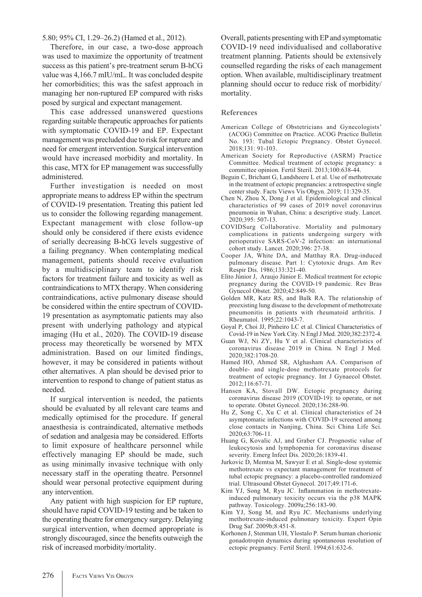5.80; 95% CI, 1.29–26.2) (Hamed et al., 2012).

Therefore, in our case, a two-dose approach was used to maximize the opportunity of treatment success as this patient's pre-treatment serum B-hCG value was 4,166.7 mIU/mL. It was concluded despite her comorbidities; this was the safest approach in managing her non-ruptured EP compared with risks posed by surgical and expectant management.

This case addressed unanswered questions regarding suitable therapeutic approaches for patients with symptomatic COVID-19 and EP. Expectant management was precluded due to risk for rupture and need for emergent intervention. Surgical intervention would have increased morbidity and mortality. In this case, MTX for EP management was successfully administered.

Further investigation is needed on most appropriate means to address EP within the spectrum of COVID-19 presentation. Treating this patient led us to consider the following regarding management. Expectant management with close follow-up should only be considered if there exists evidence of serially decreasing B-hCG levels suggestive of a failing pregnancy. When contemplating medical management, patients should receive evaluation by a multidisciplinary team to identify risk factors for treatment failure and toxicity as well as contraindications to MTX therapy. When considering contraindications, active pulmonary disease should be considered within the entire spectrum of COVID-19 presentation as asymptomatic patients may also present with underlying pathology and atypical imaging (Hu et al., 2020). The COVID-19 disease process may theoretically be worsened by MTX administration. Based on our limited findings, however, it may be considered in patients without other alternatives. A plan should be devised prior to intervention to respond to change of patient status as needed.

If surgical intervention is needed, the patients should be evaluated by all relevant care teams and medically optimised for the procedure. If general anaesthesia is contraindicated, alternative methods of sedation and analgesia may be considered. Efforts to limit exposure of healthcare personnel while effectively managing EP should be made, such as using minimally invasive technique with only necessary staff in the operating theatre. Personnel should wear personal protective equipment during any intervention.

Any patient with high suspicion for EP rupture, should have rapid COVID-19 testing and be taken to the operating theatre for emergency surgery. Delaying surgical intervention, when deemed appropriate is strongly discouraged, since the benefits outweigh the risk of increased morbidity/mortality.

Overall, patients presenting with EP and symptomatic COVID-19 need individualised and collaborative treatment planning. Patients should be extensively counselled regarding the risks of each management option. When available, multidisciplinary treatment planning should occur to reduce risk of morbidity/ mortality.

## **References**

- American College of Obstetricians and Gynecologists' (ACOG) Committee on Practice. ACOG Practice Bulletin No. 193: Tubal Ectopic Pregnancy. Obstet Gynecol. 2018;131: 91-103.
- American Society for Reproductive (ASRM) Practice Committee. Medical treatment of ectopic pregnancy: a committee opinion. Fertil Steril. 2013;100:638-44.
- Beguin C, Brichant G, Landsheere L et al. Use of methotrexate in the treatment of ectopic pregnancies: a retrospective single center study. Facts Views Vis Obgyn. 2019; 11:329-35.
- Chen N, Zhou X, Dong J et al. Epidemiological and clinical characteristics of 99 cases of 2019 novel coronavirus pneumonia in Wuhan, China: a descriptive study. Lancet. 2020;395: 507-13.
- COVIDSurg Collaborative. Mortality and pulmonary complications in patients undergoing surgery with perioperative SARS-CoV-2 infection: an international cohort study. Lancet. 2020;396: 27-38.
- Cooper JA, White DA, and Matthay RA. Drug-induced pulmonary disease. Part 1: Cytotoxic drugs. Am Rev Respir Dis. 1986;133:321-40.
- Elito Júnior J, Araujo Júnior E. Medical treatment for ectopic pregnancy during the COVID-19 pandemic. Rev Bras Gynecol Obstet. 2020;42:849-50.
- Golden MR, Katz RS, and Balk RA. The relationship of preexisting lung disease to the development of methotrexate pneumonitis in patients with rheumatoid arthritis. J Rheumatol. 1995;22:1043-7.
- Goyal P, Choi JJ, Pinheiro LC et al. Clinical Characteristics of Covid-19 in New York City. N Engl J Med. 2020;382:2372-4.
- Guan WJ, Ni ZY, Hu Y et al. Clinical characteristics of coronavirus disease 2019 in China. N Engl J Med. 2020;382:1708-20.
- Hamed HO, Ahmed SR, Alghasham AA. Comparison of double- and single-dose methotrexate protocols for treatment of ectopic pregnancy. Int J Gynaecol Obstet. 2012;116:67-71.
- Hansen KA, Stovall DW. Ectopic pregnancy during coronavirus disease 2019 (COVID-19): to operate, or not to operate. Obstet Gynecol. 2020;136:288-90.
- Hu Z, Song C, Xu C et al. Clinical characteristics of 24 asymptomatic infections with COVID-19 screened among close contacts in Nanjing, China. Sci China Life Sci. 2020;63:706-11.
- Huang G, Kovalic AJ, and Graber CJ. Prognostic value of leukocytosis and lymphopenia for coronavirus disease severity. Emerg Infect Dis. 2020;26:1839-41.
- Jurkovic D, Memtsa M, Sawyer E et al. Single-dose systemic methotrexate vs expectant management for treatment of tubal ectopic pregnancy: a placebo-controlled randomized trial. Ultrasound Obstet Gynecol. 2017;49:171-6.
- Kim YJ, Song M, Ryu JC. Inflammation in methotrexateinduced pulmonary toxicity occurs via the p38 MAPK pathway. Toxicology. 2009a;256:183-90.
- Kim YJ, Song M, and Ryu JC. Mechanisms underlying methotrexate-induced pulmonary toxicity. Expert Opin Drug Saf. 2009b;8:451-8.
- Korhonen J, Stenman UH, Ylostalo P. Serum human chorionic gonadotropin dynamics during spontaneous resolution of ectopic pregnancy. Fertil Steril. 1994;61:632-6.